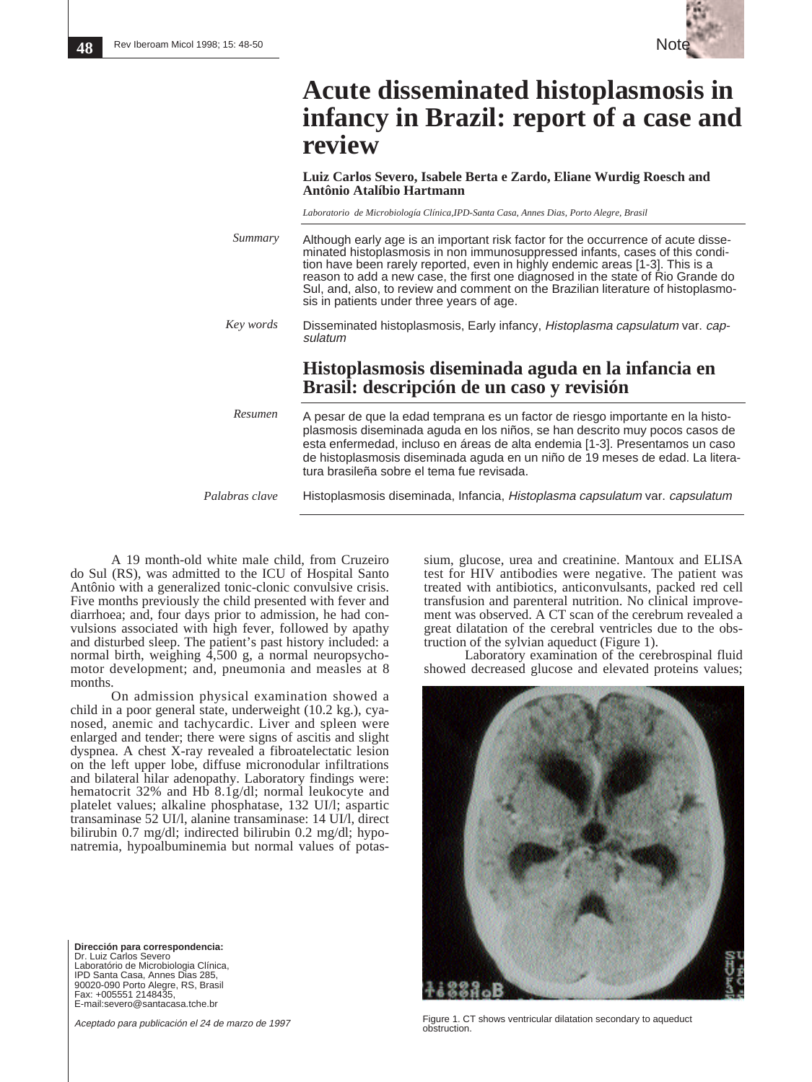

## **Acute disseminated histoplasmosis in infancy in Brazil: report of a case and review**

**Luiz Carlos Severo, Isabele Berta e Zardo, Eliane Wurdig Roesch and Antônio Atalíbio Hartmann**

*Laboratorio de Microbiología Clínica,IPD-Santa Casa, Annes Dias, Porto Alegre, Brasil*

Although early age is an important risk factor for the occurrence of acute disseminated histoplasmosis in non immunosuppressed infants, cases of this condition have been rarely reported, even in highly endemic areas [1-3]. This is a reason to add a new case, the first one diagnosed in the state of Rio Grande do Sul, and, also, to review and comment on the Brazilian literature of histoplasmosis in patients under three years of age. Disseminated histoplasmosis, Early infancy, Histoplasma capsulatum var. cap-*Summary Key words*

## **Histoplasmosis diseminada aguda en la infancia en Brasil: descripción de un caso y revisión**

A pesar de que la edad temprana es un factor de riesgo importante en la histoplasmosis diseminada aguda en los niños, se han descrito muy pocos casos de esta enfermedad, incluso en áreas de alta endemia [1-3]. Presentamos un caso de histoplasmosis diseminada aguda en un niño de 19 meses de edad. La literatura brasileña sobre el tema fue revisada. *Resumen*

*Palabras clave*

sulatum

Histoplasmosis diseminada, Infancia, Histoplasma capsulatum var. capsulatum

A 19 month-old white male child, from Cruzeiro do Sul (RS), was admitted to the ICU of Hospital Santo Antônio with a generalized tonic-clonic convulsive crisis. Five months previously the child presented with fever and diarrhoea; and, four days prior to admission, he had convulsions associated with high fever, followed by apathy and disturbed sleep. The patient's past history included: a normal birth, weighing 4,500 g, a normal neuropsychomotor development; and, pneumonia and measles at 8 months.

On admission physical examination showed a child in a poor general state, underweight (10.2 kg.), cyanosed, anemic and tachycardic. Liver and spleen were enlarged and tender; there were signs of ascitis and slight dyspnea. A chest X-ray revealed a fibroatelectatic lesion on the left upper lobe, diffuse micronodular infiltrations and bilateral hilar adenopathy. Laboratory findings were: hematocrit 32% and Hb 8.1g/dl; normal leukocyte and platelet values; alkaline phosphatase, 132 UI/l; aspartic transaminase 52 UI/l, alanine transaminase: 14 UI/l, direct bilirubin 0.7 mg/dl; indirected bilirubin 0.2 mg/dl; hyponatremia, hypoalbuminemia but normal values of potas-

**Dirección para correspondencia:** Dr. Luiz Carlos Severo Laboratório de Microbiologia Clínica, IPD Santa Casa, Annes Dias 285, 90020-090 Porto Alegre, RS, Brasil Fax: +005551 2148435, E-mail:severo@santacasa.tche.br

Aceptado para publicación el 24 de marzo de 1997

sium, glucose, urea and creatinine. Mantoux and ELISA test for HIV antibodies were negative. The patient was treated with antibiotics, anticonvulsants, packed red cell transfusion and parenteral nutrition. No clinical improvement was observed. A CT scan of the cerebrum revealed a great dilatation of the cerebral ventricles due to the obstruction of the sylvian aqueduct (Figure 1).

Laboratory examination of the cerebrospinal fluid showed decreased glucose and elevated proteins values;



Figure 1. CT shows ventricular dilatation secondary to aqueduct obstruction.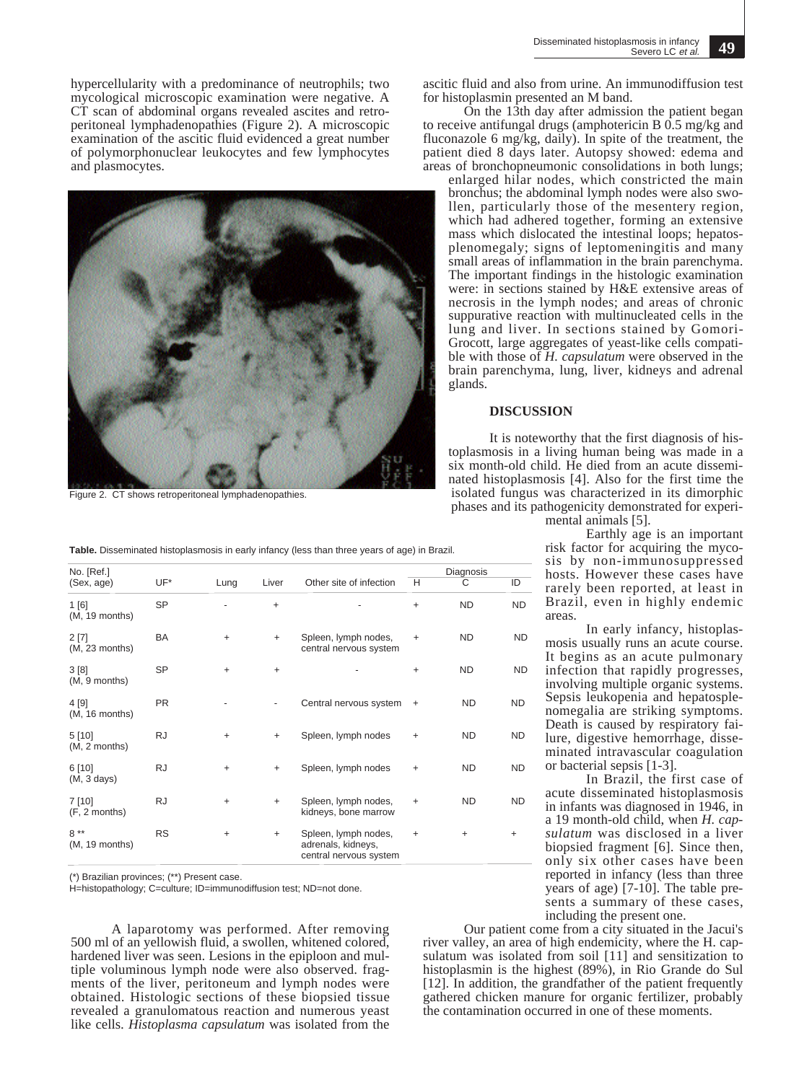hypercellularity with a predominance of neutrophils; two mycological microscopic examination were negative. A CT scan of abdominal organs revealed ascites and retroperitoneal lymphadenopathies (Figure 2). A microscopic examination of the ascitic fluid evidenced a great number of polymorphonuclear leukocytes and few lymphocytes and plasmocytes.



Figure 2. CT shows retroperitoneal lymphadenopathies.

ascitic fluid and also from urine. An immunodiffusion test for histoplasmin presented an M band.

On the 13th day after admission the patient began to receive antifungal drugs (amphotericin B 0.5 mg/kg and fluconazole 6 mg/kg, daily). In spite of the treatment, the patient died 8 days later. Autopsy showed: edema and areas of bronchopneumonic consolidations in both lungs; enlarged hilar nodes, which constricted the main bronchus; the abdominal lymph nodes were also swollen, particularly those of the mesentery region, which had adhered together, forming an extensive mass which dislocated the intestinal loops; hepatosplenomegaly; signs of leptomeningitis and many small areas of inflammation in the brain parenchyma. The important findings in the histologic examination were: in sections stained by H&E extensive areas of necrosis in the lymph nodes; and areas of chronic suppurative reaction with multinucleated cells in the lung and liver. In sections stained by Gomori-Grocott, large aggregates of yeast-like cells compatible with those of *H. capsulatum* were observed in the brain parenchyma, lung, liver, kidneys and adrenal glands.

## **DISCUSSION**

It is noteworthy that the first diagnosis of histoplasmosis in a living human being was made in a six month-old child. He died from an acute disseminated histoplasmosis [4]. Also for the first time the isolated fungus was characterized in its dimorphic phases and its pathogenicity demonstrated for experi-

mental animals [5].

Earthly age is an important risk factor for acquiring the mycosis by non-immunosuppressed hosts. However these cases have rarely been reported, at least in Brazil, even in highly endemic areas.

In early infancy, histoplasmosis usually runs an acute course. It begins as an acute pulmonary infection that rapidly progresses, involving multiple organic systems. Sepsis leukopenia and hepatosplenomegalia are striking symptoms. Death is caused by respiratory failure, digestive hemorrhage, disseminated intravascular coagulation or bacterial sepsis [1-3].

In Brazil, the first case of acute disseminated histoplasmosis in infants was diagnosed in 1946, in a 19 month-old child, when *H. capsulatum* was disclosed in a liver biopsied fragment [6]. Since then, only six other cases have been reported in infancy (less than three years of age) [7-10]. The table presents a summary of these cases, including the present one.

Our patient come from a city situated in the Jacui's river valley, an area of high endemicity, where the H. capsulatum was isolated from soil [11] and sensitization to histoplasmin is the highest (89%), in Rio Grande do Sul [12]. In addition, the grandfather of the patient frequently gathered chicken manure for organic fertilizer, probably the contamination occurred in one of these moments.

|           |           |           |                                                                      |                | Diagnosis |           |
|-----------|-----------|-----------|----------------------------------------------------------------------|----------------|-----------|-----------|
| UF*       | Lung      | Liver     | Other site of infection                                              | H              | С         | ID        |
| <b>SP</b> |           | $\ddot{}$ |                                                                      | $\ddot{}$      | <b>ND</b> | <b>ND</b> |
| BA        | $\ddot{}$ | $+$       | Spleen, lymph nodes,<br>central nervous system                       | $\ddot{}$      | <b>ND</b> | ND.       |
| <b>SP</b> | $\ddot{}$ | $\ddot{}$ |                                                                      | $\ddot{}$      | <b>ND</b> | <b>ND</b> |
| <b>PR</b> |           | ٠         | Central nervous system                                               | $\overline{+}$ | ND.       | <b>ND</b> |
| <b>RJ</b> | $\ddot{}$ | $+$       | Spleen, lymph nodes                                                  | $\ddot{}$      | <b>ND</b> | <b>ND</b> |
| <b>RJ</b> | $\ddot{}$ | $\ddot{}$ | Spleen, lymph nodes                                                  | $\ddot{}$      | <b>ND</b> | <b>ND</b> |
| <b>RJ</b> | $\ddot{}$ | $\ddot{}$ | Spleen, lymph nodes,<br>kidneys, bone marrow                         | $\ddot{}$      | <b>ND</b> | <b>ND</b> |
| <b>RS</b> | $\ddot{}$ | $\ddot{}$ | Spleen, lymph nodes,<br>adrenals, kidneys,<br>central nervous system | $\ddot{}$      | $\ddot{}$ | $\ddot{}$ |
|           |           |           |                                                                      |                |           |           |

(\*) Brazilian provinces; (\*\*) Present case.

H=histopathology; C=culture; ID=immunodiffusion test; ND=not done.

A laparotomy was performed. After removing 500 ml of an yellowish fluid, a swollen, whitened colored, hardened liver was seen. Lesions in the epiploon and multiple voluminous lymph node were also observed. fragments of the liver, peritoneum and lymph nodes were obtained. Histologic sections of these biopsied tissue revealed a granulomatous reaction and numerous yeast like cells. *Histoplasma capsulatum* was isolated from the